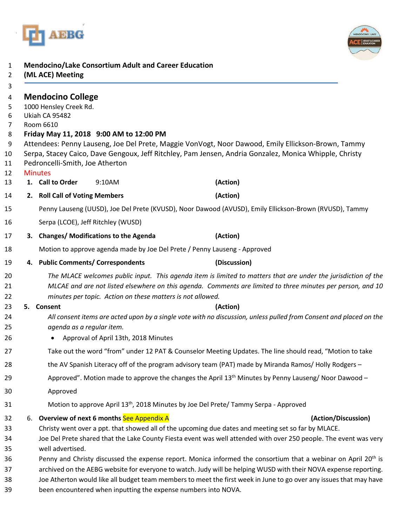



|                                                                           | <b>Mendocino/Lake Consortium Adult and Career Education</b>                                                                                                                                                                                                                                                                                                                                                                            |                                                                                                                                                                                                              |
|---------------------------------------------------------------------------|----------------------------------------------------------------------------------------------------------------------------------------------------------------------------------------------------------------------------------------------------------------------------------------------------------------------------------------------------------------------------------------------------------------------------------------|--------------------------------------------------------------------------------------------------------------------------------------------------------------------------------------------------------------|
|                                                                           | (ML ACE) Meeting                                                                                                                                                                                                                                                                                                                                                                                                                       |                                                                                                                                                                                                              |
|                                                                           | <b>Mendocino College</b><br>1000 Hensley Creek Rd.<br>Ukiah CA 95482<br>Room 6610<br>Friday May 11, 2018 9:00 AM to 12:00 PM                                                                                                                                                                                                                                                                                                           | Attendees: Penny Lauseng, Joe Del Prete, Maggie VonVogt, Noor Dawood, Emily Ellickson-Brown, Tammy<br>Serpa, Stacey Caico, Dave Gengoux, Jeff Ritchley, Pam Jensen, Andria Gonzalez, Monica Whipple, Christy |
|                                                                           | Pedroncelli-Smith, Joe Atherton                                                                                                                                                                                                                                                                                                                                                                                                        |                                                                                                                                                                                                              |
|                                                                           | <b>Minutes</b><br>1. Call to Order<br>9:10AM                                                                                                                                                                                                                                                                                                                                                                                           | (Action)                                                                                                                                                                                                     |
|                                                                           | 2. Roll Call of Voting Members                                                                                                                                                                                                                                                                                                                                                                                                         | (Action)                                                                                                                                                                                                     |
|                                                                           |                                                                                                                                                                                                                                                                                                                                                                                                                                        | Penny Lauseng (UUSD), Joe Del Prete (KVUSD), Noor Dawood (AVUSD), Emily Ellickson-Brown (RVUSD), Tammy                                                                                                       |
|                                                                           | Serpa (LCOE), Jeff Ritchley (WUSD)                                                                                                                                                                                                                                                                                                                                                                                                     |                                                                                                                                                                                                              |
|                                                                           | 3. Changes/Modifications to the Agenda                                                                                                                                                                                                                                                                                                                                                                                                 | (Action)                                                                                                                                                                                                     |
| Motion to approve agenda made by Joe Del Prete / Penny Lauseng - Approved |                                                                                                                                                                                                                                                                                                                                                                                                                                        |                                                                                                                                                                                                              |
|                                                                           | 4. Public Comments/ Correspondents                                                                                                                                                                                                                                                                                                                                                                                                     | (Discussion)                                                                                                                                                                                                 |
|                                                                           | The MLACE welcomes public input. This agenda item is limited to matters that are under the jurisdiction of the<br>MLCAE and are not listed elsewhere on this agenda. Comments are limited to three minutes per person, and 10<br>minutes per topic. Action on these matters is not allowed.                                                                                                                                            |                                                                                                                                                                                                              |
|                                                                           | 5. Consent                                                                                                                                                                                                                                                                                                                                                                                                                             | (Action)                                                                                                                                                                                                     |
|                                                                           | All consent items are acted upon by a single vote with no discussion, unless pulled from Consent and placed on the<br>agenda as a regular item.                                                                                                                                                                                                                                                                                        |                                                                                                                                                                                                              |
|                                                                           | Approval of April 13th, 2018 Minutes                                                                                                                                                                                                                                                                                                                                                                                                   |                                                                                                                                                                                                              |
|                                                                           | Take out the word "from" under 12 PAT & Counselor Meeting Updates. The line should read, "Motion to take                                                                                                                                                                                                                                                                                                                               |                                                                                                                                                                                                              |
|                                                                           | the AV Spanish Literacy off of the program advisory team (PAT) made by Miranda Ramos/Holly Rodgers -                                                                                                                                                                                                                                                                                                                                   |                                                                                                                                                                                                              |
|                                                                           | Approved". Motion made to approve the changes the April $13th$ Minutes by Penny Lauseng/Noor Dawood –                                                                                                                                                                                                                                                                                                                                  |                                                                                                                                                                                                              |
|                                                                           | Approved                                                                                                                                                                                                                                                                                                                                                                                                                               |                                                                                                                                                                                                              |
|                                                                           |                                                                                                                                                                                                                                                                                                                                                                                                                                        | Motion to approve April 13 <sup>th</sup> , 2018 Minutes by Joe Del Prete/ Tammy Serpa - Approved                                                                                                             |
| 6.                                                                        | Overview of next 6 months See Appendix A<br>(Action/Discussion)<br>Christy went over a ppt. that showed all of the upcoming due dates and meeting set so far by MLACE.<br>Joe Del Prete shared that the Lake County Fiesta event was well attended with over 250 people. The event was very<br>well advertised.                                                                                                                        |                                                                                                                                                                                                              |
|                                                                           | Penny and Christy discussed the expense report. Monica informed the consortium that a webinar on April 20 <sup>th</sup> is<br>archived on the AEBG website for everyone to watch. Judy will be helping WUSD with their NOVA expense reporting.<br>Joe Atherton would like all budget team members to meet the first week in June to go over any issues that may have<br>been encountered when inputting the expense numbers into NOVA. |                                                                                                                                                                                                              |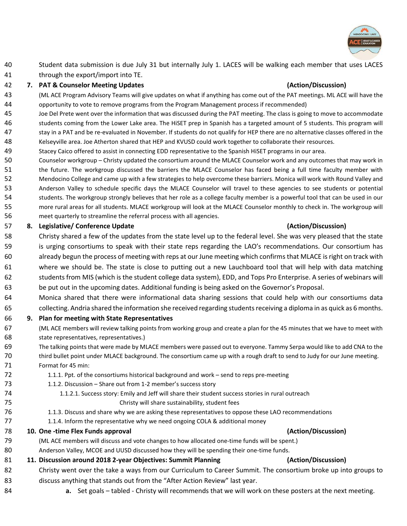

 Student data submission is due July 31 but internally July 1. LACES will be walking each member that uses LACES through the export/import into TE.

### **7. PAT & Counselor Meeting Updates (Action/Discussion)**

- (ML ACE Program Advisory Teams will give updates on what if anything has come out of the PAT meetings. ML ACE will have the opportunity to vote to remove programs from the Program Management process if recommended)
- Joe Del Prete went over the information that was discussed during the PAT meeting. The class is going to move to accommodate students coming from the Lower Lake area. The HiSET prep in Spanish has a targeted amount of 5 students. This program will stay in a PAT and be re-evaluated in November. If students do not qualify for HEP there are no alternative classes offered in the Kelseyville area. Joe Atherton shared that HEP and KVUSD could work together to collaborate their resources.
- Stacey Caico offered to assist in connecting EDD representative to the Spanish HiSET programs in our area.
- Counselor workgroup Christy updated the consortium around the MLACE Counselor work and any outcomes that may work in the future. The workgroup discussed the barriers the MLACE Counselor has faced being a full time faculty member with Mendocino College and came up with a few strategies to help overcome these barriers. Monica will work with Round Valley and Anderson Valley to schedule specific days the MLACE Counselor will travel to these agencies to see students or potential students. The workgroup strongly believes that her role as a college faculty member is a powerful tool that can be used in our more rural areas for all students. MLACE workgroup will look at the MLACE Counselor monthly to check in. The workgroup will meet quarterly to streamline the referral process with all agencies.

### **8. Legislative/ Conference Update (Action/Discussion)**

- Christy shared a few of the updates from the state level up to the federal level. She was very pleased that the state is urging consortiums to speak with their state reps regarding the LAO's recommendations. Our consortium has already begun the process of meeting with reps at our June meeting which confirms that MLACE is right on track with where we should be. The state is close to putting out a new Lauchboard tool that will help with data matching students from MIS (which is the student college data system), EDD, and Tops Pro Enterprise. A series of webinars will be put out in the upcoming dates. Additional funding is being asked on the Governor's Proposal.
- Monica shared that there were informational data sharing sessions that could help with our consortiums data collecting. Andria shared the information she received regarding studentsreceiving a diploma in as quick as 6 months.

### **9. Plan for meeting with State Representatives**

- (ML ACE members will review talking points from working group and create a plan for the 45 minutes that we have to meet with state representatives, representatives.)
- The talking points that were made by MLACE members were passed out to everyone. Tammy Serpa would like to add CNA to the third bullet point under MLACE background. The consortium came up with a rough draft to send to Judy for our June meeting. Format for 45 min:

### 1.1.1. Ppt. of the consortiums historical background and work – send to reps pre-meeting

- 1.1.2. Discussion Share out from 1-2 member's success story
- 1.1.2.1. Success story: Emily and Jeff will share their student success stories in rural outreach

## Christy will share sustainability, student fees

- 1.1.3. Discuss and share why we are asking these representatives to oppose these LAO recommendations
- 1.1.4. Inform the representative why we need ongoing COLA & additional money

## **10. One -time Flex Funds approval (Action/Discussion)**

(ML ACE members will discuss and vote changes to how allocated one-time funds will be spent.)

## Anderson Valley, MCOE and UUSD discussed how they will be spending their one-time funds.

## **11. Discussion around 2018 2-year Objectives: Summit Planning (Action/Discussion)**

- Christy went over the take a ways from our Curriculum to Career Summit. The consortium broke up into groups to discuss anything that stands out from the "After Action Review" last year.
- **a.** Set goals tabled Christy will recommends that we will work on these posters at the next meeting.